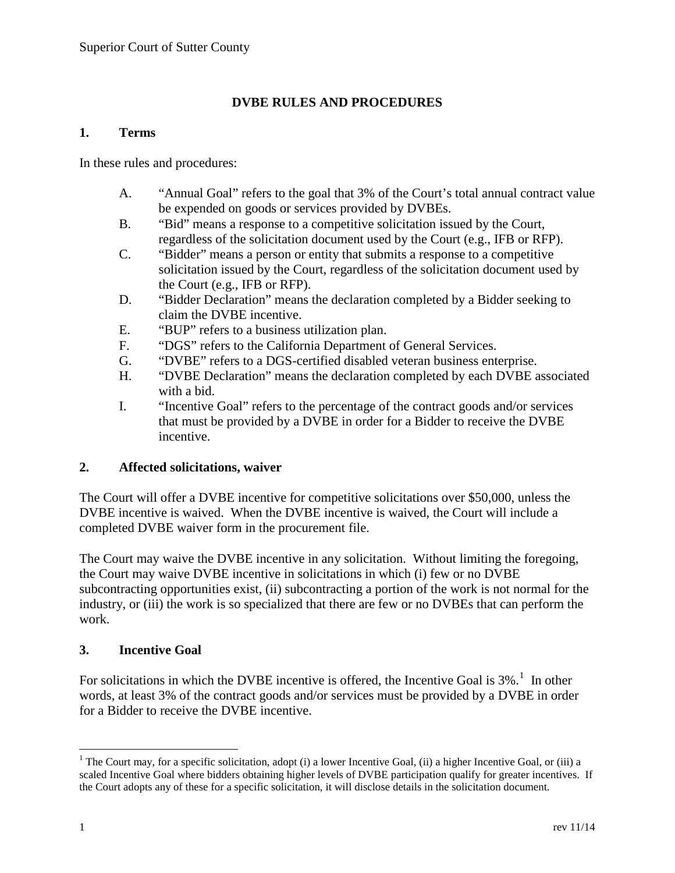# **DVBE RULES AND PROCEDURES**

#### **1. Terms**

In these rules and procedures:

- A. "Annual Goal" refers to the goal that 3% of the Court's total annual contract value be expended on goods or services provided by DVBEs.
- B. "Bid" means a response to a competitive solicitation issued by the Court, regardless of the solicitation document used by the Court (e.g., IFB or RFP).
- C. "Bidder" means a person or entity that submits a response to a competitive solicitation issued by the Court, regardless of the solicitation document used by the Court (e.g., IFB or RFP).
- D. "Bidder Declaration" means the declaration completed by a Bidder seeking to claim the DVBE incentive.
- E. "BUP" refers to a business utilization plan.
- F. "DGS" refers to the California Department of General Services.
- G. "DVBE" refers to a DGS-certified disabled veteran business enterprise.
- H. "DVBE Declaration" means the declaration completed by each DVBE associated with a bid.
- I. "Incentive Goal" refers to the percentage of the contract goods and/or services that must be provided by a DVBE in order for a Bidder to receive the DVBE incentive.

#### **2. Affected solicitations, waiver**

The Court will offer a DVBE incentive for competitive solicitations over \$50,000, unless the DVBE incentive is waived. When the DVBE incentive is waived, the Court will include a completed DVBE waiver form in the procurement file.

The Court may waive the DVBE incentive in any solicitation. Without limiting the foregoing, the Court may waive DVBE incentive in solicitations in which (i) few or no DVBE subcontracting opportunities exist, (ii) subcontracting a portion of the work is not normal for the industry, or (iii) the work is so specialized that there are few or no DVBEs that can perform the work.

#### **3. Incentive Goal**

For solicitations in which the DVBE incentive is offered, the Incentive Goal is  $3\%$ <sup>[1](#page-0-0)</sup>. In other words, at least 3% of the contract goods and/or services must be provided by a DVBE in order for a Bidder to receive the DVBE incentive.

<span id="page-0-0"></span><sup>&</sup>lt;sup>1</sup> The Court may, for a specific solicitation, adopt (i) a lower Incentive Goal, (ii) a higher Incentive Goal, or (iii) a scaled Incentive Goal where bidders obtaining higher levels of DVBE participation qualify for greater incentives. If the Court adopts any of these for a specific solicitation, it will disclose details in the solicitation document.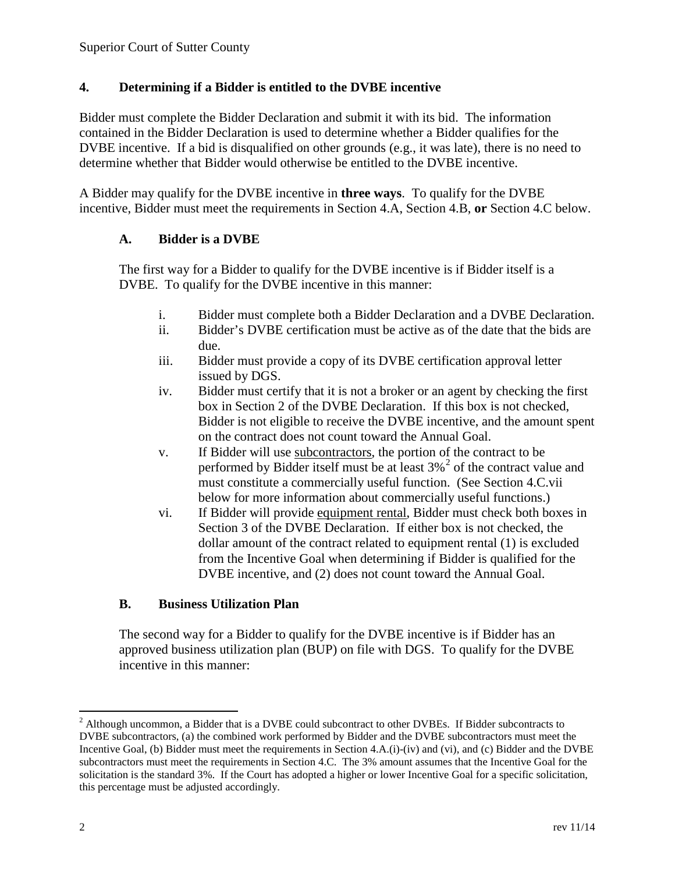### **4. Determining if a Bidder is entitled to the DVBE incentive**

Bidder must complete the Bidder Declaration and submit it with its bid. The information contained in the Bidder Declaration is used to determine whether a Bidder qualifies for the DVBE incentive. If a bid is disqualified on other grounds (e.g., it was late), there is no need to determine whether that Bidder would otherwise be entitled to the DVBE incentive.

A Bidder may qualify for the DVBE incentive in **three ways**. To qualify for the DVBE incentive, Bidder must meet the requirements in Section 4.A, Section 4.B, **or** Section 4.C below.

## **A. Bidder is a DVBE**

The first way for a Bidder to qualify for the DVBE incentive is if Bidder itself is a DVBE. To qualify for the DVBE incentive in this manner:

- i. Bidder must complete both a Bidder Declaration and a DVBE Declaration.
- ii. Bidder's DVBE certification must be active as of the date that the bids are due.
- iii. Bidder must provide a copy of its DVBE certification approval letter issued by DGS.
- iv. Bidder must certify that it is not a broker or an agent by checking the first box in Section 2 of the DVBE Declaration. If this box is not checked, Bidder is not eligible to receive the DVBE incentive, and the amount spent on the contract does not count toward the Annual Goal.
- v. If Bidder will use subcontractors, the portion of the contract to be performed by Bidder itself must be at least  $3\%$ <sup>[2](#page-1-0)</sup> of the contract value and must constitute a commercially useful function. (See Section 4.C.vii below for more information about commercially useful functions.)
- vi. If Bidder will provide equipment rental, Bidder must check both boxes in Section 3 of the DVBE Declaration. If either box is not checked, the dollar amount of the contract related to equipment rental (1) is excluded from the Incentive Goal when determining if Bidder is qualified for the DVBE incentive, and (2) does not count toward the Annual Goal.

# **B. Business Utilization Plan**

The second way for a Bidder to qualify for the DVBE incentive is if Bidder has an approved business utilization plan (BUP) on file with DGS. To qualify for the DVBE incentive in this manner:

<span id="page-1-0"></span><sup>&</sup>lt;sup>2</sup> Although uncommon, a Bidder that is a DVBE could subcontract to other DVBEs. If Bidder subcontracts to DVBE subcontractors, (a) the combined work performed by Bidder and the DVBE subcontractors must meet the Incentive Goal, (b) Bidder must meet the requirements in Section 4.A.(i)-(iv) and (vi), and (c) Bidder and the DVBE subcontractors must meet the requirements in Section 4.C. The 3% amount assumes that the Incentive Goal for the solicitation is the standard 3%. If the Court has adopted a higher or lower Incentive Goal for a specific solicitation, this percentage must be adjusted accordingly.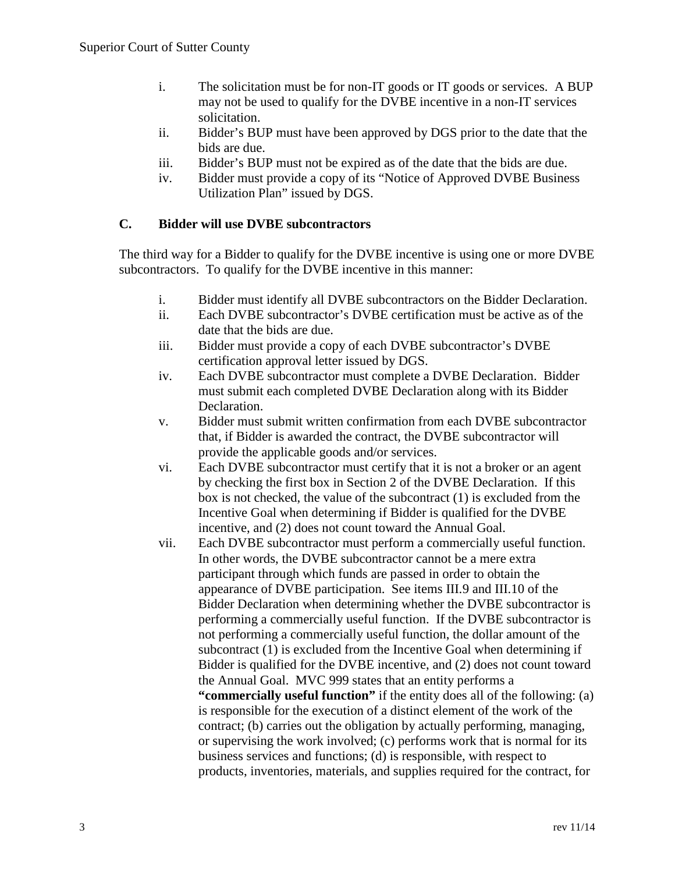- i. The solicitation must be for non-IT goods or IT goods or services. A BUP may not be used to qualify for the DVBE incentive in a non-IT services solicitation.
- ii. Bidder's BUP must have been approved by DGS prior to the date that the bids are due.
- iii. Bidder's BUP must not be expired as of the date that the bids are due.
- iv. Bidder must provide a copy of its "Notice of Approved DVBE Business Utilization Plan" issued by DGS.

### **C. Bidder will use DVBE subcontractors**

The third way for a Bidder to qualify for the DVBE incentive is using one or more DVBE subcontractors. To qualify for the DVBE incentive in this manner:

- i. Bidder must identify all DVBE subcontractors on the Bidder Declaration.
- ii. Each DVBE subcontractor's DVBE certification must be active as of the date that the bids are due.
- iii. Bidder must provide a copy of each DVBE subcontractor's DVBE certification approval letter issued by DGS.
- iv. Each DVBE subcontractor must complete a DVBE Declaration. Bidder must submit each completed DVBE Declaration along with its Bidder Declaration.
- v. Bidder must submit written confirmation from each DVBE subcontractor that, if Bidder is awarded the contract, the DVBE subcontractor will provide the applicable goods and/or services.
- vi. Each DVBE subcontractor must certify that it is not a broker or an agent by checking the first box in Section 2 of the DVBE Declaration. If this box is not checked, the value of the subcontract (1) is excluded from the Incentive Goal when determining if Bidder is qualified for the DVBE incentive, and (2) does not count toward the Annual Goal.
- vii. Each DVBE subcontractor must perform a commercially useful function. In other words, the DVBE subcontractor cannot be a mere extra participant through which funds are passed in order to obtain the appearance of DVBE participation. See items III.9 and III.10 of the Bidder Declaration when determining whether the DVBE subcontractor is performing a commercially useful function. If the DVBE subcontractor is not performing a commercially useful function, the dollar amount of the subcontract (1) is excluded from the Incentive Goal when determining if Bidder is qualified for the DVBE incentive, and (2) does not count toward the Annual Goal. MVC 999 states that an entity performs a **"commercially useful function"** if the entity does all of the following: (a) is responsible for the execution of a distinct element of the work of the contract; (b) carries out the obligation by actually performing, managing, or supervising the work involved; (c) performs work that is normal for its business services and functions; (d) is responsible, with respect to products, inventories, materials, and supplies required for the contract, for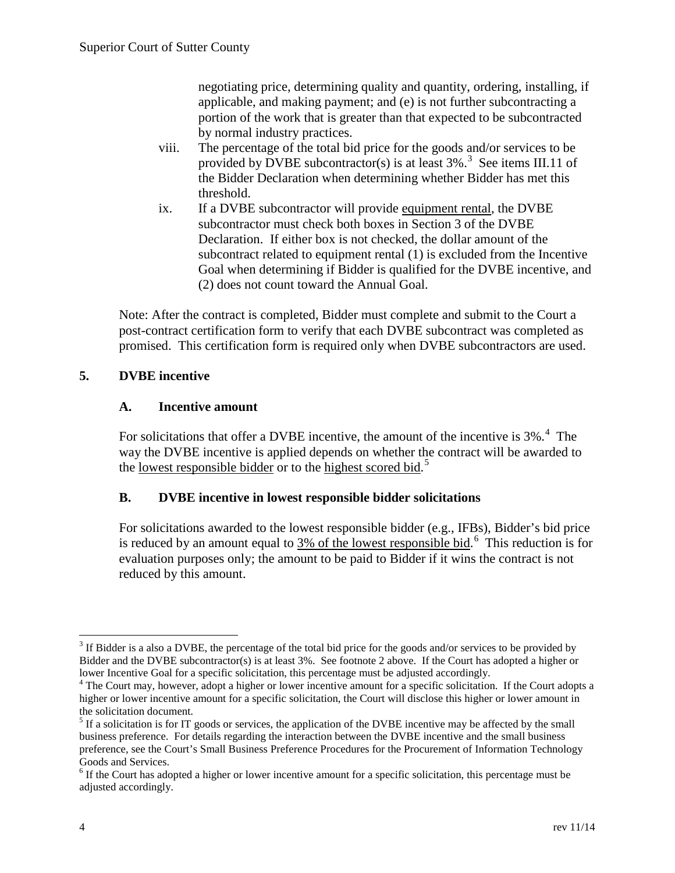negotiating price, determining quality and quantity, ordering, installing, if applicable, and making payment; and (e) is not further subcontracting a portion of the work that is greater than that expected to be subcontracted by normal industry practices.

- viii. The percentage of the total bid price for the goods and/or services to be provided by DVBE subcontractor(s) is at least  $3\%$  $3\%$ .<sup>3</sup> See items III.11 of the Bidder Declaration when determining whether Bidder has met this threshold.
- ix. If a DVBE subcontractor will provide equipment rental, the DVBE subcontractor must check both boxes in Section 3 of the DVBE Declaration. If either box is not checked, the dollar amount of the subcontract related to equipment rental (1) is excluded from the Incentive Goal when determining if Bidder is qualified for the DVBE incentive, and (2) does not count toward the Annual Goal.

Note: After the contract is completed, Bidder must complete and submit to the Court a post-contract certification form to verify that each DVBE subcontract was completed as promised. This certification form is required only when DVBE subcontractors are used.

## **5. DVBE incentive**

### **A. Incentive amount**

For solicitations that offer a DVBE incentive, the amount of the incentive is  $3\%$ .<sup>[4](#page-3-1)</sup> The way the DVBE incentive is applied depends on whether the contract will be awarded to the lowest responsible bidder or to the highest scored bid.<sup>[5](#page-3-2)</sup>

### **B. DVBE incentive in lowest responsible bidder solicitations**

For solicitations awarded to the lowest responsible bidder (e.g., IFBs), Bidder's bid price is reduced by an amount equal to  $3\%$  of the lowest responsible bid.<sup>[6](#page-3-3)</sup> This reduction is for evaluation purposes only; the amount to be paid to Bidder if it wins the contract is not reduced by this amount.

<span id="page-3-0"></span><sup>&</sup>lt;sup>3</sup> If Bidder is a also a DVBE, the percentage of the total bid price for the goods and/or services to be provided by Bidder and the DVBE subcontractor(s) is at least 3%. See footnote 2 above. If the Court has adopted a higher or lower Incentive Goal for a specific solicitation, this percentage must be adjusted accordingly.

<span id="page-3-1"></span> $\rm^4$  The Court may, however, adopt a higher or lower incentive amount for a specific solicitation. If the Court adopts a higher or lower incentive amount for a specific solicitation, the Court will disclose this higher or lower amount in the solicitation document.

<span id="page-3-2"></span> $<sup>5</sup>$  If a solicitation is for IT goods or services, the application of the DVBE incentive may be affected by the small</sup> business preference. For details regarding the interaction between the DVBE incentive and the small business preference, see the Court's Small Business Preference Procedures for the Procurement of Information Technology Goods and Services.<br><sup>6</sup> If the Court has adopted a higher or lower incentive amount for a specific solicitation, this percentage must be

<span id="page-3-3"></span>adjusted accordingly.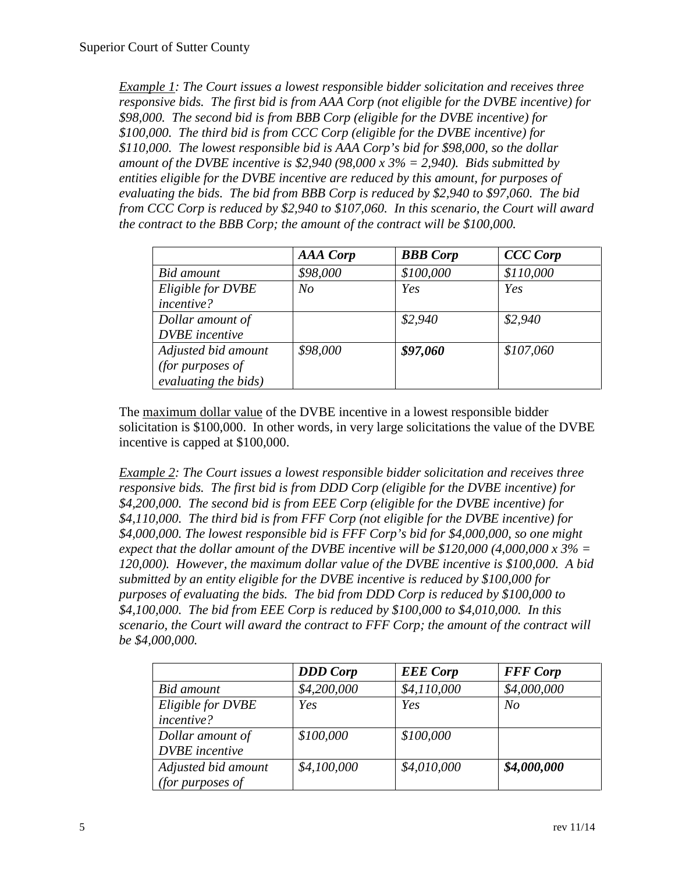*Example 1: The Court issues a lowest responsible bidder solicitation and receives three responsive bids. The first bid is from AAA Corp (not eligible for the DVBE incentive) for \$98,000. The second bid is from BBB Corp (eligible for the DVBE incentive) for \$100,000. The third bid is from CCC Corp (eligible for the DVBE incentive) for \$110,000. The lowest responsible bid is AAA Corp's bid for \$98,000, so the dollar amount of the DVBE incentive is \$2,940 (98,000 x 3% = 2,940). Bids submitted by entities eligible for the DVBE incentive are reduced by this amount, for purposes of evaluating the bids. The bid from BBB Corp is reduced by \$2,940 to \$97,060. The bid from CCC Corp is reduced by \$2,940 to \$107,060. In this scenario, the Court will award the contract to the BBB Corp; the amount of the contract will be \$100,000.*

|                       | <b>AAA</b> Corp | <b>BBB</b> Corp | <b>CCC</b> Corp |
|-----------------------|-----------------|-----------------|-----------------|
| Bid amount            | \$98,000        | \$100,000       | \$110,000       |
| Eligible for DVBE     | No              | Yes             | Yes             |
| incentive?            |                 |                 |                 |
| Dollar amount of      |                 | \$2,940         | \$2,940         |
| <b>DVBE</b> incentive |                 |                 |                 |
| Adjusted bid amount   | \$98,000        | \$97,060        | \$107,060       |
| (for purposes of      |                 |                 |                 |
| evaluating the bids)  |                 |                 |                 |

The maximum dollar value of the DVBE incentive in a lowest responsible bidder solicitation is \$100,000. In other words, in very large solicitations the value of the DVBE incentive is capped at \$100,000.

*Example 2: The Court issues a lowest responsible bidder solicitation and receives three responsive bids. The first bid is from DDD Corp (eligible for the DVBE incentive) for \$4,200,000. The second bid is from EEE Corp (eligible for the DVBE incentive) for \$4,110,000. The third bid is from FFF Corp (not eligible for the DVBE incentive) for \$4,000,000. The lowest responsible bid is FFF Corp's bid for \$4,000,000, so one might expect that the dollar amount of the DVBE incentive will be \$120,000 (4,000,000 x 3% =*  $\frac{1}{2}$ *120,000). However, the maximum dollar value of the DVBE incentive is \$100,000. A bid submitted by an entity eligible for the DVBE incentive is reduced by \$100,000 for purposes of evaluating the bids. The bid from DDD Corp is reduced by \$100,000 to \$4,100,000. The bid from EEE Corp is reduced by \$100,000 to \$4,010,000. In this scenario, the Court will award the contract to FFF Corp; the amount of the contract will be \$4,000,000.*

|                       | <b>DDD</b> Corp | <b>EEE</b> Corp | <b>FFF</b> Corp |
|-----------------------|-----------------|-----------------|-----------------|
| Bid amount            | \$4,200,000     | \$4,110,000     | \$4,000,000     |
| Eligible for DVBE     | Yes             | Yes             | N <sub>O</sub>  |
| incentive?            |                 |                 |                 |
| Dollar amount of      | \$100,000       | \$100,000       |                 |
| <b>DVBE</b> incentive |                 |                 |                 |
| Adjusted bid amount   | \$4,100,000     | \$4,010,000     | \$4,000,000     |
| (for purposes of      |                 |                 |                 |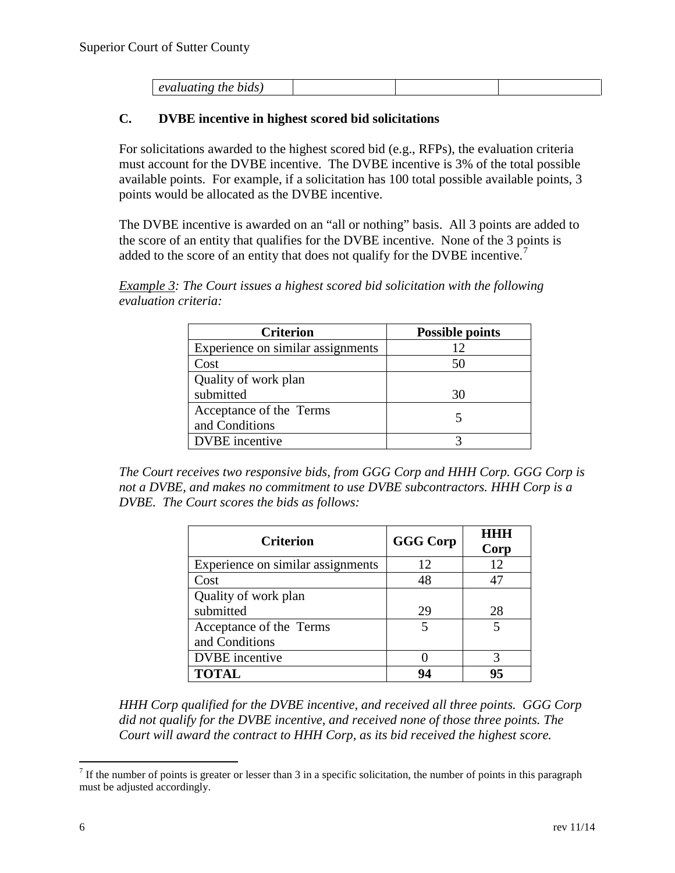| evaluating the bids) |  |  |
|----------------------|--|--|

### **C. DVBE incentive in highest scored bid solicitations**

For solicitations awarded to the highest scored bid (e.g., RFPs), the evaluation criteria must account for the DVBE incentive. The DVBE incentive is 3% of the total possible available points. For example, if a solicitation has 100 total possible available points, 3 points would be allocated as the DVBE incentive.

The DVBE incentive is awarded on an "all or nothing" basis. All 3 points are added to the score of an entity that qualifies for the DVBE incentive. None of the 3 points is added to the score of an entity that does not qualify for the DVBE incentive.<sup>[7](#page-5-0)</sup>

*Example 3: The Court issues a highest scored bid solicitation with the following evaluation criteria:*

| <b>Criterion</b>                  | <b>Possible points</b> |  |
|-----------------------------------|------------------------|--|
| Experience on similar assignments | 12                     |  |
| Cost                              |                        |  |
| Quality of work plan              |                        |  |
| submitted                         | 30                     |  |
| Acceptance of the Terms           |                        |  |
| and Conditions                    |                        |  |
| <b>DVBE</b> incentive             |                        |  |

*The Court receives two responsive bids, from GGG Corp and HHH Corp. GGG Corp is not a DVBE, and makes no commitment to use DVBE subcontractors. HHH Corp is a DVBE. The Court scores the bids as follows:*

| <b>Criterion</b>                  | <b>GGG</b> Corp | <b>HHH</b><br>Corp |
|-----------------------------------|-----------------|--------------------|
| Experience on similar assignments | 12              | 12                 |
| Cost                              | 48              | 47                 |
| Quality of work plan              |                 |                    |
| submitted                         | 29              | 28                 |
| Acceptance of the Terms           | 5               | 5                  |
| and Conditions                    |                 |                    |
| <b>DVBE</b> incentive             |                 |                    |
| <b>TOTAL</b>                      | 94              | 95                 |

*HHH Corp qualified for the DVBE incentive, and received all three points. GGG Corp did not qualify for the DVBE incentive, and received none of those three points. The Court will award the contract to HHH Corp, as its bid received the highest score.*

<span id="page-5-0"></span> $<sup>7</sup>$  If the number of points is greater or lesser than 3 in a specific solicitation, the number of points in this paragraph</sup> must be adjusted accordingly.